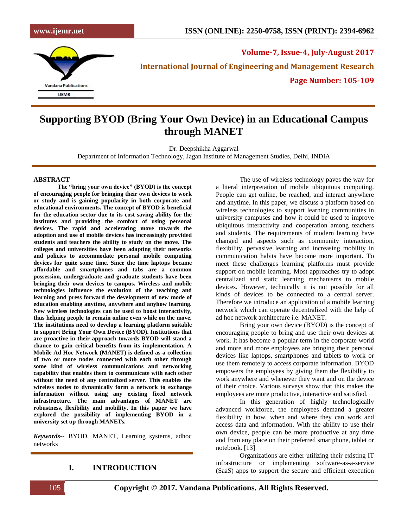

**Volume-7, Issue-4, July-August 2017 International Journal of Engineering and Management Research Page Number: 105-109**

# **Supporting BYOD (Bring Your Own Device) in an Educational Campus through MANET**

Dr. Deepshikha Aggarwal

Department of Information Technology, Jagan Institute of Management Studies, Delhi, INDIA

#### **ABSTRACT**

**The "bring your own device" (BYOD) is the concept of encouraging people for bringing their own devices to work or study and is gaining popularity in both corporate and educational environments. The concept of BYOD is beneficial for the education sector due to its cost saving ability for the institutes and providing the comfort of using personal devices. The rapid and accelerating move towards the adoption and use of mobile devices has increasingly provided students and teachers the ability to study on the move. The colleges and universities have been adapting their networks and policies to accommodate personal mobile computing devices for quite some time. Since the time laptops became affordable and smartphones and tabs are a common possession, undergraduate and graduate students have been bringing their own devices to campus. Wireless and mobile technologies influence the evolution of the teaching and learning and press forward the development of new mode of education enabling anytime, anywhere and anyhow learning. New wireless technologies can be used to boost interactivity, thus helping people to remain online even while on the move. The institutions need to develop a learning platform suitable to support Bring Your Own Device (BYOD). Institutions that are proactive in their approach towards BYOD will stand a chance to gain critical benefits from its implementation. A Mobile Ad Hoc Network (MANET) is defined as a collection of two or more nodes connected with each other through some kind of wireless communications and networking capability that enables them to communicate with each other without the need of any centralized server. This enables the wireless nodes to dynamically form a network to exchange information without using any existing fixed network infrastructure. The main advantages of MANET are robustness, flexibility and mobility. In this paper we have explored the possibility of implementing BYOD in a university set up through MANETs.**

*Keywords--* BYOD, MANET, Learning systems, adhoc networks

### **I. INTRODUCTION**

The use of wireless technology paves the way for a literal interpretation of mobile ubiquitous computing. People can get online, be reached, and interact anywhere and anytime. In this paper, we discuss a platform based on wireless technologies to support learning communities in university campuses and how it could be used to improve ubiquitous interactivity and cooperation among teachers and students. The requirements of modern learning have changed and aspects such as community interaction, flexibility, pervasive learning and increasing mobility in communication habits have become more important. To meet these challenges learning platforms must provide support on mobile learning. Most approaches try to adopt centralized and static learning mechanisms to mobile devices. However, technically it is not possible for all kinds of devices to be connected to a central server. Therefore we introduce an application of a mobile learning network which can operate decentralized with the help of ad hoc network architecture i.e. MANET.

Bring your own device (BYOD) is the concept of encouraging people to bring and use their own devices at work. It has become a popular term in the corporate world and more and more employees are bringing their personal devices like laptops, smartphones and tablets to work or use them remotely to access corporate information. BYOD empowers the employees by giving them the flexibility to work anywhere and whenever they want and on the device of their choice. Various surveys show that this makes the employees are more productive, interactive and satisfied.

In this generation of highly technologically advanced workforce, the employees demand a greater flexibility in how, when and where they can work and access data and information. With the ability to use their own device, people can be more productive at any time and from any place on their preferred smartphone, tablet or notebook. [13]

Organizations are either utilizing their existing IT infrastructure or implementing software-as-a-service (SaaS) apps to support the secure and efficient execution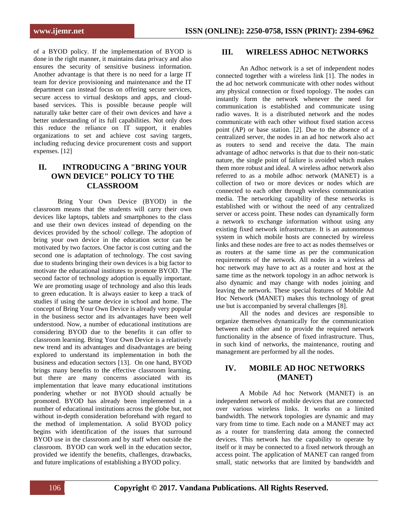of a BYOD policy. If the implementation of BYOD is done in the right manner, it maintains data privacy and also ensures the security of sensitive business information. Another advantage is that there is no need for a large IT team for device provisioning and maintenance and the IT department can instead focus on offering secure services, secure access to virtual desktops and apps, and cloudbased services. This is possible because people will naturally take better care of their own devices and have a better understanding of its full capabilities. Not only does this reduce the reliance on IT support, it enables organizations to set and achieve cost saving targets, including reducing device procurement costs and support expenses. [12]

# **II. INTRODUCING A "BRING YOUR OWN DEVICE" POLICY TO THE CLASSROOM**

Bring Your Own Device (BYOD) in the classroom means that the students will carry their own devices like laptops, tablets and smartphones to the class and use their own devices instead of depending on the devices provided by the school/ college. The adoption of bring your own device in the education sector can be motivated by two factors. One factor is cost cutting and the second one is adaptation of technology. The cost saving due to students bringing their own devices is a big factor to motivate the educational institutes to promote BYOD. The second factor of technology adoption is equally important. We are promoting usage of technology and also this leads to green education. It is always easier to keep a track of studies if using the same device in school and home. The concept of Bring Your Own Device is already very popular in the business sector and its advantages have been well understood. Now, a number of educational institutions are considering BYOD due to the benefits it can offer to classroom learning. Bring Your Own Device is a relatively new trend and its advantages and disadvantages are being explored to understand its implementation in both the business and education sectors [13]. On one hand, BYOD brings many benefits to the effective classroom learning, but there are many concerns associated with its implementation that leave many educational institutions pondering whether or not BYOD should actually be promoted. BYOD has already been implemented in a number of educational institutions across the globe but, not without in-depth consideration beforehand with regard to the method of implementation. A solid BYOD policy begins with identification of the issues that surround BYOD use in the classroom and by staff when outside the classroom. BYOD can work well in the education sector, provided we identify the benefits, challenges, drawbacks, and future implications of establishing a BYOD policy.

### **III. WIRELESS ADHOC NETWORKS**

An Adhoc network is a set of independent nodes connected together with a wireless link [1]. The nodes in the ad hoc network communicate with other nodes without any physical connection or fixed topology. The nodes can instantly form the network whenever the need for communication is established and communicate using radio waves. It is a distributed network and the nodes communicate with each other without fixed station access point (AP) or base station. [2]. Due to the absence of a centralized server, the nodes in an ad hoc network also act as routers to send and receive the data. The main advantage of adhoc networks is that due to their non-static nature, the single point of failure is avoided which makes them more robust and ideal. A wireless adhoc network also referred to as a mobile adhoc network (MANET) is a collection of two or more devices or nodes which are connected to each other through wireless communication media. The networking capability of these networks is established with or without the need of any centralized server or access point. These nodes can dynamically form a network to exchange information without using any existing fixed network infrastructure. It is an autonomous system in which mobile hosts are connected by wireless links and these nodes are free to act as nodes themselves or as routers at the same time as per the communication requirements of the network. All nodes in a wireless ad hoc network may have to act as a router and host at the same time as the network topology in an adhoc network is also dynamic and may change with nodes joining and leaving the network. These special features of Mobile Ad Hoc Network (MANET) makes this technology of great use but is accompanied by several challenges [8].

All the nodes and devices are responsible to organize themselves dynamically for the communication between each other and to provide the required network functionality in the absence of fixed infrastructure. Thus, in such kind of networks, the maintenance, routing and management are performed by all the nodes.

## **IV. MOBILE AD HOC NETWORKS (MANET)**

A Mobile Ad hoc Network (MANET) is an independent network of mobile devices that are connected over various wireless links. It works on a limited bandwidth. The network topologies are dynamic and may vary from time to time. Each node on a MANET may act as a router for transferring data among the connected devices. This network has the capability to operate by itself or it may be connected to a fixed network through an access point. The application of MANET can ranged from small, static networks that are limited by bandwidth and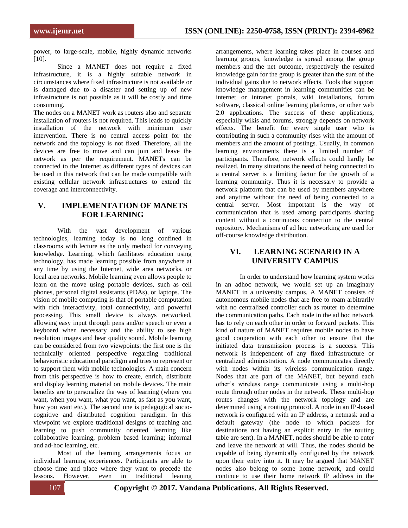power, to large-scale, mobile, highly dynamic networks [10].

Since a MANET does not require a fixed infrastructure, it is a highly suitable network in circumstances where fixed infrastructure is not available or is damaged due to a disaster and setting up of new infrastructure is not possible as it will be costly and time consuming.

The nodes on a MANET work as routers also and separate installation of routers is not required. This leads to quickly installation of the network with minimum user intervention. There is no central access point for the network and the topology is not fixed. Therefore, all the devices are free to move and can join and leave the network as per the requirement. MANETs can be connected to the Internet as different types of devices can be used in this network that can be made compatible with existing cellular network infrastructures to extend the coverage and interconnectivity.

# **V. IMPLEMENTATION OF MANETS FOR LEARNING**

With the vast development of various technologies, learning today is no long confined in classrooms with lecture as the only method for conveying knowledge. Learning, which facilitates education using technology, has made learning possible from anywhere at any time by using the Internet, wide area networks, or local area networks. Mobile learning even allows people to learn on the move using portable devices, such as cell phones, personal digital assistants (PDAs), or laptops. The vision of mobile computing is that of portable computation with rich interactivity, total connectivity, and powerful processing. This small device is always networked, allowing easy input through pens and/or speech or even a keyboard when necessary and the ability to see high resolution images and hear quality sound. Mobile learning can be considered from two viewpoints: the first one is the technically oriented perspective regarding traditional behavioristic educational paradigm and tries to represent or to support them with mobile technologies. A main concern from this perspective is how to create, enrich, distribute and display learning material on mobile devices. The main benefits are to personalize the way of learning (where you want, when you want, what you want, as fast as you want, how you want etc.). The second one is pedagogical sociocognitive and distributed cognition paradigm. In this viewpoint we explore traditional designs of teaching and learning to push community oriented learning like collaborative learning, problem based learning; informal and ad-hoc learning, etc.

Most of the learning arrangements focus on individual learning experiences. Participants are able to choose time and place where they want to precede the lessons. However, even in traditional leaning

arrangements, where learning takes place in courses and learning groups, knowledge is spread among the group members and the net outcome, respectively the resulted knowledge gain for the group is greater than the sum of the individual gains due to network effects. Tools that support knowledge management in learning communities can be internet or intranet portals, wiki installations, forum software, classical online learning platforms, or other web 2.0 applications. The success of these applications, especially wikis and forums, strongly depends on network effects. The benefit for every single user who is contributing in such a community rises with the amount of members and the amount of postings. Usually, in common learning environments there is a limited number of participants. Therefore, network effects could hardly be realized. In many situations the need of being connected to a central server is a limiting factor for the growth of a learning community. Thus it is necessary to provide a network platform that can be used by members anywhere and anytime without the need of being connected to a central server. Most important is the way of communication that is used among participants sharing content without a continuous connection to the central repository. Mechanisms of ad hoc networking are used for off-course knowledge distribution.

# **VI. LEARNING SCENARIO IN A UNIVERSITY CAMPUS**

In order to understand how learning system works in an adhoc network, we would set up an imaginary MANET in a university campus. A MANET consists of autonomous mobile nodes that are free to roam arbitrarily with no centralized controller such as router to determine the communication paths. Each node in the ad hoc network has to rely on each other in order to forward packets. This kind of nature of MANET requires mobile nodes to have good cooperation with each other to ensure that the initiated data transmission process is a success. This network is independent of any fixed infrastructure or centralized administration. A node communicates directly with nodes within its wireless communication range. Nodes that are part of the MANET, but beyond each other's wireless range communicate using a multi-hop route through other nodes in the network. These multi-hop routes changes with the network topology and are determined using a routing protocol. A node in an IP-based network is configured with an IP address, a netmask and a default gateway (the node to which packets for destinations not having an explicit entry in the routing table are sent). In a MANET, nodes should be able to enter and leave the network at will. Thus, the nodes should be capable of being dynamically configured by the network upon their entry into it. It may be argued that MANET nodes also belong to some home network, and could continue to use their home network IP address in the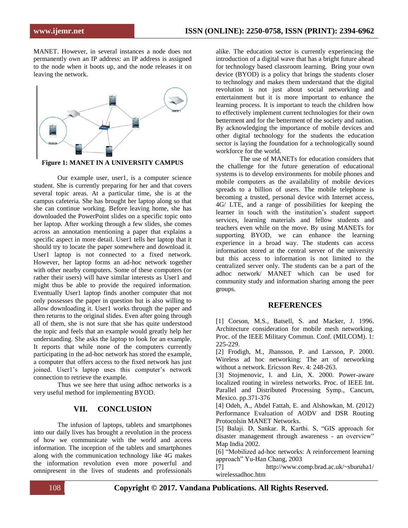MANET. However, in several instances a node does not permanently own an IP address: an IP address is assigned to the node when it boots up, and the node releases it on leaving the network.





Our example user, user1, is a computer science student. She is currently preparing for her and that covers several topic areas. At a particular time, she is at the campus cafeteria. She has brought her laptop along so that she can continue working. Before leaving home, she has downloaded the PowerPoint slides on a specific topic onto her laptop. After working through a few slides, she comes across an annotation mentioning a paper that explains a specific aspect in more detail. User1 tells her laptop that it should try to locate the paper somewhere and download it. User1 laptop is not connected to a fixed network. However, her laptop forms an ad-hoc network together with other nearby computers. Some of these computers (or rather their users) will have similar interests as User1 and might thus be able to provide the required information. Eventually User1 laptop finds another computer that not only possesses the paper in question but is also willing to allow downloading it. User1 works through the paper and then returns to the original slides. Even after going through all of them, she is not sure that she has quite understood the topic and feels that an example would greatly help her understanding. She asks the laptop to look for an example. It reports that while none of the computers currently participating in the ad-hoc network has stored the example, a computer that offers access to the fixed network has just joined. User1's laptop uses this computer's network connection to retrieve the example.

Thus we see here that using adhoc networks is a very useful method for implementing BYOD.

#### **VII. CONCLUSION**

The infusion of laptops, tablets and smartphones into our daily lives has brought a revolution in the process of how we communicate with the world and access information. The inception of the tablets and smartphones along with the communication technology like 4G makes the information revolution even more powerful and omnipresent in the lives of students and professionals alike. The education sector is currently experiencing the introduction of a digital wave that has a bright future ahead for technology based classroom learning. Bring your own device (BYOD) is a policy that brings the students closer to technology and makes them understand that the digital revolution is not just about social networking and entertainment but it is more important to enhance the learning process. It is important to teach the children how to effectively implement current technologies for their own betterment and for the betterment of the society and nation. By acknowledging the importance of mobile devices and other digital technology for the students the education sector is laying the foundation for a technologically sound workforce for the world.

The use of MANETs for education considers that the challenge for the future generation of educational systems is to develop environments for mobile phones and mobile computers as the availability of mobile devices spreads to a billion of users. The mobile telephone is becoming a trusted, personal device with Internet access, 4G/ LTE, and a range of possibilities for keeping the learner in touch with the institution's student support services, learning materials and fellow students and teachers even while on the move. By using MANETs for supporting BYOD, we can enhance the learning experience in a broad way. The students can access information stored at the central server of the university but this access to information is not limited to the centralized server only. The students can be a part of the adhoc network/ MANET which can be used for community study and information sharing among the peer groups.

#### **REFERENCES**

[1] Corson, M.S., Batsell, S. and Macker, J. 1996. Architecture consideration for mobile mesh networking. Proc. of the IEEE Military Commun. Conf. (MILCOM). 1: 225-229.

[2] Frodigh, M., Jhansson, P. and Larsson, P. 2000. Wireless ad hoc networking: The art of networking without a network. Ericsson Rev. 4: 248-263.

[3] Stojmenovic, I. and Lin, X. 2000. Power-aware localized routing in wireless networks. Proc. of IEEE Int. Parallel and Distributed Processing Symp., Cancum, Mexico. pp.371-376

[4] Odeh, A., Abdel Fattah, E. and Alshowkan, M. (2012) Performance Evaluation of AODV and DSR Routing Protocolsin MANET Networks.

[5] Balaji. D, Sankar. R, Karthi. S, "GIS approach for disaster management through awareness - an overview" Map India 2002.

[6] "Mobilized ad-hoc networks: A reinforcement learning approach" Yu-Han Chang, 2003

[7] http://www.comp.brad.ac.uk/~sburuha1/ wirelessadhoc.htm